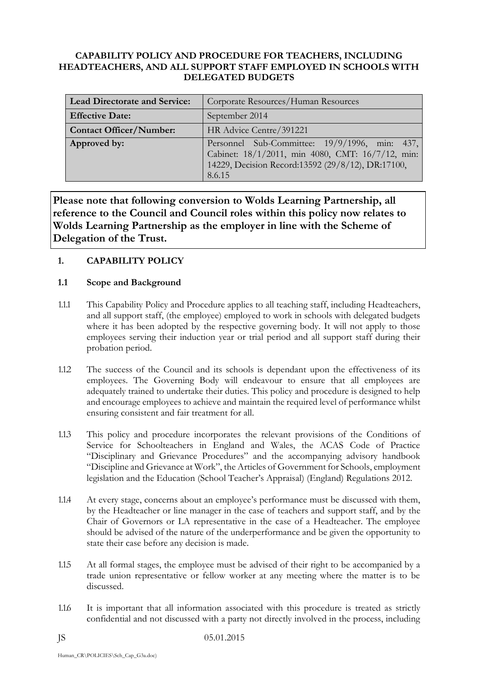### **CAPABILITY POLICY AND PROCEDURE FOR TEACHERS, INCLUDING HEADTEACHERS, AND ALL SUPPORT STAFF EMPLOYED IN SCHOOLS WITH DELEGATED BUDGETS**

| <b>Lead Directorate and Service:</b> | Corporate Resources/Human Resources                                                                                                                              |  |  |  |
|--------------------------------------|------------------------------------------------------------------------------------------------------------------------------------------------------------------|--|--|--|
| <b>Effective Date:</b>               | September 2014                                                                                                                                                   |  |  |  |
| <b>Contact Officer/Number:</b>       | HR Advice Centre/391221                                                                                                                                          |  |  |  |
| Approved by:                         | Personnel Sub-Committee: 19/9/1996, min: 437,<br>Cabinet: 18/1/2011, min 4080, CMT: 16/7/12, min:<br>14229, Decision Record:13592 (29/8/12), DR:17100,<br>8.6.15 |  |  |  |

**Please note that following conversion to Wolds Learning Partnership, all reference to the Council and Council roles within this policy now relates to Wolds Learning Partnership as the employer in line with the Scheme of Delegation of the Trust.**

# **1. CAPABILITY POLICY**

### **1.1 Scope and Background**

- 1.1.1 This Capability Policy and Procedure applies to all teaching staff, including Headteachers, and all support staff, (the employee) employed to work in schools with delegated budgets where it has been adopted by the respective governing body. It will not apply to those employees serving their induction year or trial period and all support staff during their probation period.
- 1.1.2 The success of the Council and its schools is dependant upon the effectiveness of its employees. The Governing Body will endeavour to ensure that all employees are adequately trained to undertake their duties. This policy and procedure is designed to help and encourage employees to achieve and maintain the required level of performance whilst ensuring consistent and fair treatment for all.
- 1.1.3 This policy and procedure incorporates the relevant provisions of the Conditions of Service for Schoolteachers in England and Wales, the ACAS Code of Practice "Disciplinary and Grievance Procedures" and the accompanying advisory handbook "Discipline and Grievance at Work", the Articles of Government for Schools, employment legislation and the Education (School Teacher's Appraisal) (England) Regulations 2012.
- 1.1.4 At every stage, concerns about an employee's performance must be discussed with them, by the Headteacher or line manager in the case of teachers and support staff, and by the Chair of Governors or LA representative in the case of a Headteacher. The employee should be advised of the nature of the underperformance and be given the opportunity to state their case before any decision is made.
- 1.1.5 At all formal stages, the employee must be advised of their right to be accompanied by a trade union representative or fellow worker at any meeting where the matter is to be discussed.
- 1.1.6 It is important that all information associated with this procedure is treated as strictly confidential and not discussed with a party not directly involved in the process, including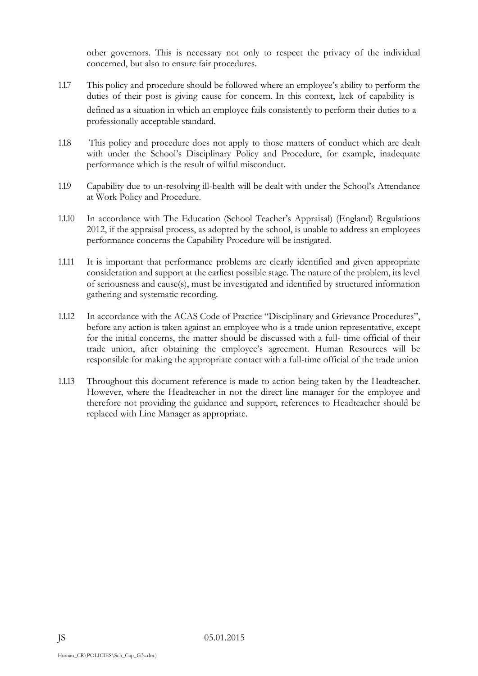other governors. This is necessary not only to respect the privacy of the individual concerned, but also to ensure fair procedures.

- 1.1.7 This policy and procedure should be followed where an employee's ability to perform the duties of their post is giving cause for concern. In this context, lack of capability is defined as a situation in which an employee fails consistently to perform their duties to a professionally acceptable standard.
- 1.1.8 This policy and procedure does not apply to those matters of conduct which are dealt with under the School's Disciplinary Policy and Procedure, for example, inadequate performance which is the result of wilful misconduct.
- 1.1.9 Capability due to un-resolving ill-health will be dealt with under the School's Attendance at Work Policy and Procedure.
- 1.1.10 In accordance with The Education (School Teacher's Appraisal) (England) Regulations 2012, if the appraisal process, as adopted by the school, is unable to address an employees performance concerns the Capability Procedure will be instigated.
- 1.1.11 It is important that performance problems are clearly identified and given appropriate consideration and support at the earliest possible stage. The nature of the problem, its level of seriousness and cause(s), must be investigated and identified by structured information gathering and systematic recording.
- 1.1.12 In accordance with the ACAS Code of Practice "Disciplinary and Grievance Procedures", before any action is taken against an employee who is a trade union representative, except for the initial concerns, the matter should be discussed with a full- time official of their trade union, after obtaining the employee's agreement. Human Resources will be responsible for making the appropriate contact with a full-time official of the trade union
- 1.1.13 Throughout this document reference is made to action being taken by the Headteacher. However, where the Headteacher in not the direct line manager for the employee and therefore not providing the guidance and support, references to Headteacher should be replaced with Line Manager as appropriate.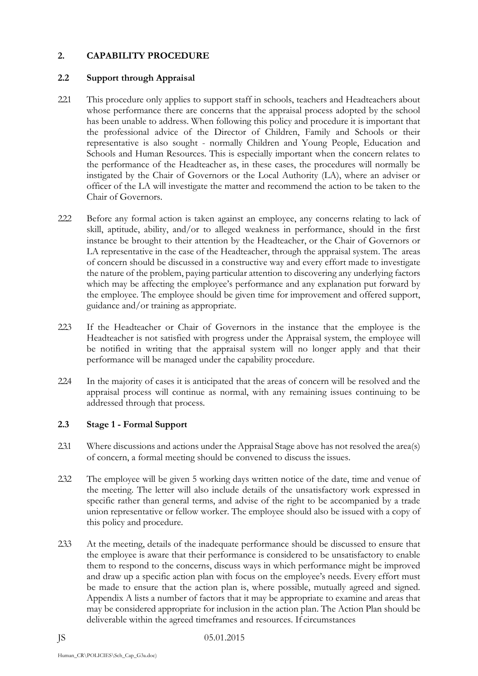## **2. CAPABILITY PROCEDURE**

### **2.2 Support through Appraisal**

- 2.2.1 This procedure only applies to support staff in schools, teachers and Headteachers about whose performance there are concerns that the appraisal process adopted by the school has been unable to address. When following this policy and procedure it is important that the professional advice of the Director of Children, Family and Schools or their representative is also sought - normally Children and Young People, Education and Schools and Human Resources. This is especially important when the concern relates to the performance of the Headteacher as, in these cases, the procedures will normally be instigated by the Chair of Governors or the Local Authority (LA), where an adviser or officer of the LA will investigate the matter and recommend the action to be taken to the Chair of Governors.
- 2.2.2 Before any formal action is taken against an employee, any concerns relating to lack of skill, aptitude, ability, and/or to alleged weakness in performance, should in the first instance be brought to their attention by the Headteacher, or the Chair of Governors or LA representative in the case of the Headteacher, through the appraisal system. The areas of concern should be discussed in a constructive way and every effort made to investigate the nature of the problem, paying particular attention to discovering any underlying factors which may be affecting the employee's performance and any explanation put forward by the employee. The employee should be given time for improvement and offered support, guidance and/or training as appropriate.
- 2.2.3 If the Headteacher or Chair of Governors in the instance that the employee is the Headteacher is not satisfied with progress under the Appraisal system, the employee will be notified in writing that the appraisal system will no longer apply and that their performance will be managed under the capability procedure.
- 2.2.4 In the majority of cases it is anticipated that the areas of concern will be resolved and the appraisal process will continue as normal, with any remaining issues continuing to be addressed through that process.

# **2.3 Stage 1 - Formal Support**

- 23.1 Where discussions and actions under the Appraisal Stage above has not resolved the area(s) of concern, a formal meeting should be convened to discuss the issues.
- 2.3.2 The employee will be given 5 working days written notice of the date, time and venue of the meeting. The letter will also include details of the unsatisfactory work expressed in specific rather than general terms, and advise of the right to be accompanied by a trade union representative or fellow worker. The employee should also be issued with a copy of this policy and procedure.
- 2.3.3 At the meeting, details of the inadequate performance should be discussed to ensure that the employee is aware that their performance is considered to be unsatisfactory to enable them to respond to the concerns, discuss ways in which performance might be improved and draw up a specific action plan with focus on the employee's needs. Every effort must be made to ensure that the action plan is, where possible, mutually agreed and signed. Appendix A lists a number of factors that it may be appropriate to examine and areas that may be considered appropriate for inclusion in the action plan. The Action Plan should be deliverable within the agreed timeframes and resources. If circumstances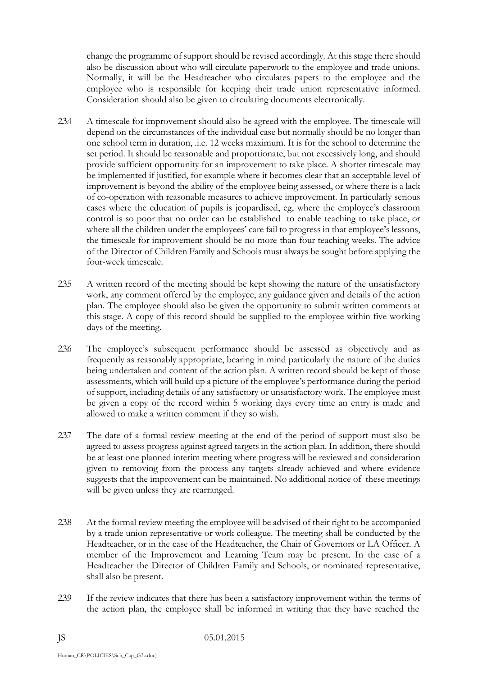change the programme of support should be revised accordingly. At this stage there should also be discussion about who will circulate paperwork to the employee and trade unions. Normally, it will be the Headteacher who circulates papers to the employee and the employee who is responsible for keeping their trade union representative informed. Consideration should also be given to circulating documents electronically.

- 2.3.4 A timescale for improvement should also be agreed with the employee. The timescale will depend on the circumstances of the individual case but normally should be no longer than one school term in duration, .i.e. 12 weeks maximum. It is for the school to determine the set period. It should be reasonable and proportionate, but not excessively long, and should provide sufficient opportunity for an improvement to take place. A shorter timescale may be implemented if justified, for example where it becomes clear that an acceptable level of improvement is beyond the ability of the employee being assessed, or where there is a lack of co-operation with reasonable measures to achieve improvement. In particularly serious cases where the education of pupils is jeopardised, eg, where the employee's classroom control is so poor that no order can be established to enable teaching to take place, or where all the children under the employees' care fail to progress in that employee's lessons, the timescale for improvement should be no more than four teaching weeks. The advice of the Director of Children Family and Schools must always be sought before applying the four-week timescale.
- 2.3.5 A written record of the meeting should be kept showing the nature of the unsatisfactory work, any comment offered by the employee, any guidance given and details of the action plan. The employee should also be given the opportunity to submit written comments at this stage. A copy of this record should be supplied to the employee within five working days of the meeting.
- 2.3.6 The employee's subsequent performance should be assessed as objectively and as frequently as reasonably appropriate, bearing in mind particularly the nature of the duties being undertaken and content of the action plan. A written record should be kept of those assessments, which will build up a picture of the employee's performance during the period of support, including details of any satisfactory or unsatisfactory work. The employee must be given a copy of the record within 5 working days every time an entry is made and allowed to make a written comment if they so wish.
- 2.3.7 The date of a formal review meeting at the end of the period of support must also be agreed to assess progress against agreed targets in the action plan. In addition, there should be at least one planned interim meeting where progress will be reviewed and consideration given to removing from the process any targets already achieved and where evidence suggests that the improvement can be maintained. No additional notice of these meetings will be given unless they are rearranged.
- 2.3.8 At the formal review meeting the employee will be advised of their right to be accompanied by a trade union representative or work colleague. The meeting shall be conducted by the Headteacher, or in the case of the Headteacher, the Chair of Governors or LA Officer. A member of the Improvement and Learning Team may be present. In the case of a Headteacher the Director of Children Family and Schools, or nominated representative, shall also be present.
- 2.3.9 If the review indicates that there has been a satisfactory improvement within the terms of the action plan, the employee shall be informed in writing that they have reached the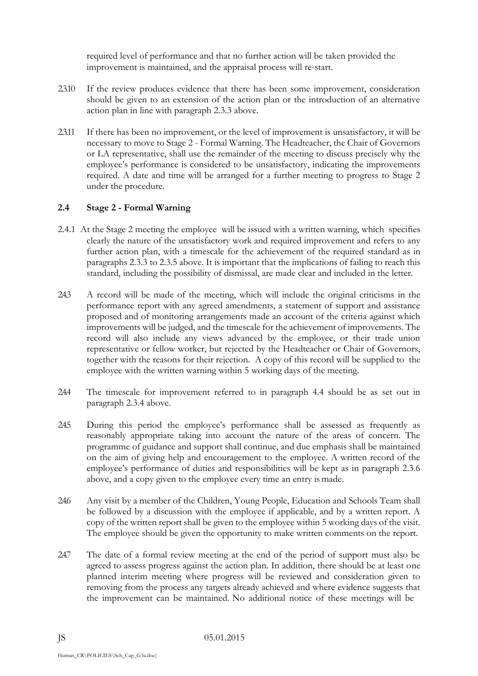required level of performance and that no further action will be taken provided the improvement is maintained, and the appraisal process will re-start.

- 2.3.10 If the review produces evidence that there has been some improvement, consideration should be given to an extension of the action plan or the introduction of an alternative action plan in line with paragraph 2.3.3 above.
- 2.3.11 If there has been no improvement, or the level of improvement is unsatisfactory, it will be necessary to move to Stage 2 - Formal Warning. The Headteacher, the Chair of Governors or LA representative, shall use the remainder of the meeting to discuss precisely why the employee's performance is considered to be unsatisfactory, indicating the improvements required. A date and time will be arranged for a further meeting to progress to Stage 2 under the procedure.

### **2.4 Stage 2 - Formal Warning**

- 2.4.1 At the Stage 2 meeting the employee will be issued with a written warning, which specifies clearly the nature of the unsatisfactory work and required improvement and refers to any further action plan, with a timescale for the achievement of the required standard as in paragraphs 2.3.3 to 2.3.5 above. It is important that the implications of failing to reach this standard, including the possibility of dismissal, are made clear and included in the letter.
- 2.4.3 A record will be made of the meeting, which will include the original criticisms in the performance report with any agreed amendments, a statement of support and assistance proposed and of monitoring arrangements made an account of the criteria against which improvements will be judged, and the timescale for the achievement of improvements. The record will also include any views advanced by the employee, or their trade union representative or fellow worker, but rejected by the Headteacher or Chair of Governors, together with the reasons for their rejection. A copy of this record will be supplied to the employee with the written warning within 5 working days of the meeting.
- 2.4.4 The timescale for improvement referred to in paragraph 4.4 should be as set out in paragraph 2.3.4 above.
- 2.4.5 During this period the employee's performance shall be assessed as frequently as reasonably appropriate taking into account the nature of the areas of concern. The programme of guidance and support shall continue, and due emphasis shall be maintained on the aim of giving help and encouragement to the employee. A written record of the employee's performance of duties and responsibilities will be kept as in paragraph 2.3.6 above, and a copy given to the employee every time an entry is made.
- 2.4.6 Any visit by a member of the Children, Young People, Education and Schools Team shall be followed by a discussion with the employee if applicable, and by a written report. A copy of the written report shall be given to the employee within 5 working days of the visit. The employee should be given the opportunity to make written comments on the report.
- 247 The date of a formal review meeting at the end of the period of support must also be agreed to assess progress against the action plan. In addition, there should be at least one planned interim meeting where progress will be reviewed and consideration given to removing from the process any targets already achieved and where evidence suggests that the improvement can be maintained. No additional notice of these meetings will be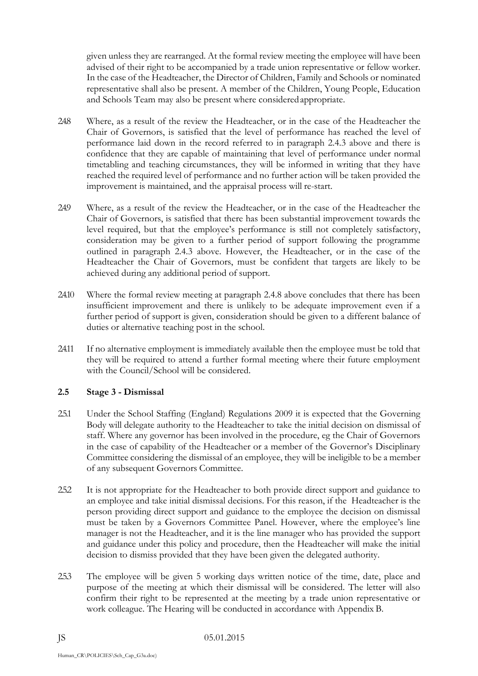given unless they are rearranged. At the formal review meeting the employee will have been advised of their right to be accompanied by a trade union representative or fellow worker. In the case of the Headteacher, the Director of Children, Family and Schools or nominated representative shall also be present. A member of the Children, Young People, Education and Schools Team may also be present where consideredappropriate.

- 2.4.8 Where, as a result of the review the Headteacher, or in the case of the Headteacher the Chair of Governors, is satisfied that the level of performance has reached the level of performance laid down in the record referred to in paragraph 2.4.3 above and there is confidence that they are capable of maintaining that level of performance under normal timetabling and teaching circumstances, they will be informed in writing that they have reached the required level of performance and no further action will be taken provided the improvement is maintained, and the appraisal process will re-start.
- 2.4.9 Where, as a result of the review the Headteacher, or in the case of the Headteacher the Chair of Governors, is satisfied that there has been substantial improvement towards the level required, but that the employee's performance is still not completely satisfactory, consideration may be given to a further period of support following the programme outlined in paragraph 2.4.3 above. However, the Headteacher, or in the case of the Headteacher the Chair of Governors, must be confident that targets are likely to be achieved during any additional period of support.
- 2.4.10 Where the formal review meeting at paragraph 2.4.8 above concludes that there has been insufficient improvement and there is unlikely to be adequate improvement even if a further period of support is given, consideration should be given to a different balance of duties or alternative teaching post in the school.
- 2.4.11 If no alternative employment is immediately available then the employee must be told that they will be required to attend a further formal meeting where their future employment with the Council/School will be considered.

# **2.5 Stage 3 - Dismissal**

- 2.5.1 Under the School Staffing (England) Regulations 2009 it is expected that the Governing Body will delegate authority to the Headteacher to take the initial decision on dismissal of staff. Where any governor has been involved in the procedure, eg the Chair of Governors in the case of capability of the Headteacher or a member of the Governor's Disciplinary Committee considering the dismissal of an employee, they will be ineligible to be a member of any subsequent Governors Committee.
- 2.5.2 It is not appropriate for the Headteacher to both provide direct support and guidance to an employee and take initial dismissal decisions. For this reason, if the Headteacher is the person providing direct support and guidance to the employee the decision on dismissal must be taken by a Governors Committee Panel. However, where the employee's line manager is not the Headteacher, and it is the line manager who has provided the support and guidance under this policy and procedure, then the Headteacher will make the initial decision to dismiss provided that they have been given the delegated authority.
- 2.5.3 The employee will be given 5 working days written notice of the time, date, place and purpose of the meeting at which their dismissal will be considered. The letter will also confirm their right to be represented at the meeting by a trade union representative or work colleague. The Hearing will be conducted in accordance with Appendix B.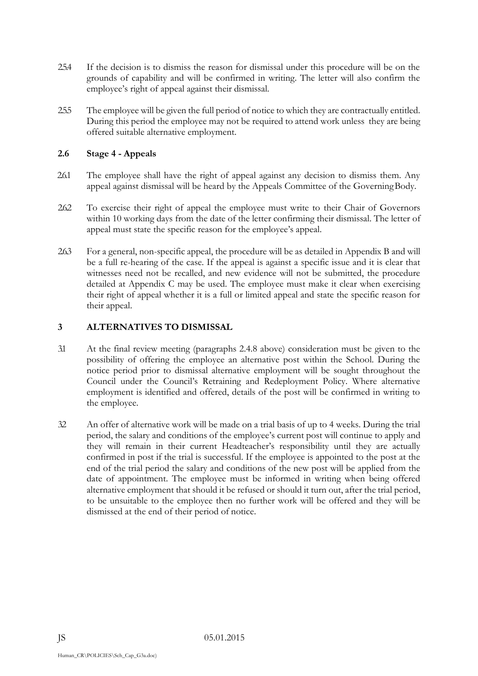- 2.5.4 If the decision is to dismiss the reason for dismissal under this procedure will be on the grounds of capability and will be confirmed in writing. The letter will also confirm the employee's right of appeal against their dismissal.
- 2.5.5 The employee will be given the full period of notice to which they are contractually entitled. During this period the employee may not be required to attend work unless they are being offered suitable alternative employment.

## **2.6 Stage 4 - Appeals**

- 2.6.1 The employee shall have the right of appeal against any decision to dismiss them. Any appeal against dismissal will be heard by the Appeals Committee of the GoverningBody.
- 2.6.2 To exercise their right of appeal the employee must write to their Chair of Governors within 10 working days from the date of the letter confirming their dismissal. The letter of appeal must state the specific reason for the employee's appeal.
- 2.6.3 For a general, non-specific appeal, the procedure will be as detailed in Appendix B and will be a full re-hearing of the case. If the appeal is against a specific issue and it is clear that witnesses need not be recalled, and new evidence will not be submitted, the procedure detailed at Appendix C may be used. The employee must make it clear when exercising their right of appeal whether it is a full or limited appeal and state the specific reason for their appeal.

### **3 ALTERNATIVES TO DISMISSAL**

- 3.1 At the final review meeting (paragraphs 2.4.8 above) consideration must be given to the possibility of offering the employee an alternative post within the School. During the notice period prior to dismissal alternative employment will be sought throughout the Council under the Council's Retraining and Redeployment Policy. Where alternative employment is identified and offered, details of the post will be confirmed in writing to the employee.
- 3.2 An offer of alternative work will be made on a trial basis of up to 4 weeks. During the trial period, the salary and conditions of the employee's current post will continue to apply and they will remain in their current Headteacher's responsibility until they are actually confirmed in post if the trial is successful. If the employee is appointed to the post at the end of the trial period the salary and conditions of the new post will be applied from the date of appointment. The employee must be informed in writing when being offered alternative employment that should it be refused or should it turn out, after the trial period, to be unsuitable to the employee then no further work will be offered and they will be dismissed at the end of their period of notice.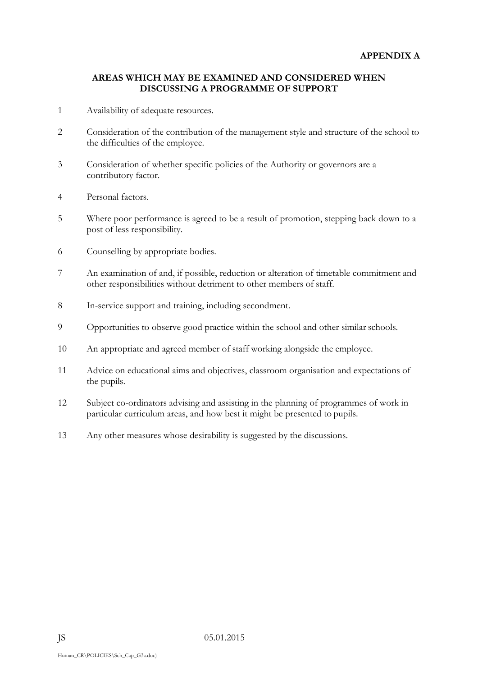#### **AREAS WHICH MAY BE EXAMINED AND CONSIDERED WHEN DISCUSSING A PROGRAMME OF SUPPORT**

- 1 Availability of adequate resources.
- 2 Consideration of the contribution of the management style and structure of the school to the difficulties of the employee.
- 3 Consideration of whether specific policies of the Authority or governors are a contributory factor.
- 4 Personal factors.
- 5 Where poor performance is agreed to be a result of promotion, stepping back down to a post of less responsibility.
- 6 Counselling by appropriate bodies.
- 7 An examination of and, if possible, reduction or alteration of timetable commitment and other responsibilities without detriment to other members of staff.
- 8 In-service support and training, including secondment.
- 9 Opportunities to observe good practice within the school and other similar schools.
- 10 An appropriate and agreed member of staff working alongside the employee.
- 11 Advice on educational aims and objectives, classroom organisation and expectations of the pupils.
- 12 Subject co-ordinators advising and assisting in the planning of programmes of work in particular curriculum areas, and how best it might be presented to pupils.
- 13 Any other measures whose desirability is suggested by the discussions.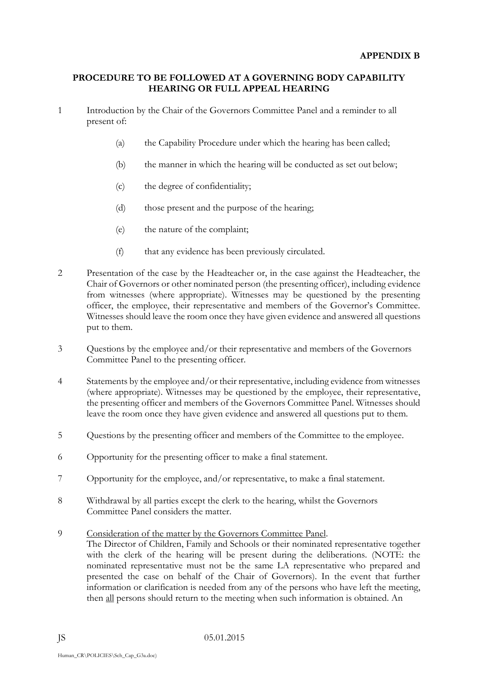### **PROCEDURE TO BE FOLLOWED AT A GOVERNING BODY CAPABILITY HEARING OR FULL APPEAL HEARING**

- 1 Introduction by the Chair of the Governors Committee Panel and a reminder to all present of:
	- (a) the Capability Procedure under which the hearing has been called;
	- (b) the manner in which the hearing will be conducted as set out below;
	- (c) the degree of confidentiality;
	- (d) those present and the purpose of the hearing;
	- (e) the nature of the complaint;
	- (f) that any evidence has been previously circulated.
- 2 Presentation of the case by the Headteacher or, in the case against the Headteacher, the Chair of Governors or other nominated person (the presenting officer), including evidence from witnesses (where appropriate). Witnesses may be questioned by the presenting officer, the employee, their representative and members of the Governor's Committee. Witnesses should leave the room once they have given evidence and answered all questions put to them.
- 3 Questions by the employee and/or their representative and members of the Governors Committee Panel to the presenting officer.
- 4 Statements by the employee and/or their representative, including evidence from witnesses (where appropriate). Witnesses may be questioned by the employee, their representative, the presenting officer and members of the Governors Committee Panel. Witnesses should leave the room once they have given evidence and answered all questions put to them.
- 5 Questions by the presenting officer and members of the Committee to the employee.
- 6 Opportunity for the presenting officer to make a final statement.
- 7 Opportunity for the employee, and/or representative, to make a final statement.
- 8 Withdrawal by all parties except the clerk to the hearing, whilst the Governors Committee Panel considers the matter.
- 9 Consideration of the matter by the Governors Committee Panel. The Director of Children, Family and Schools or their nominated representative together with the clerk of the hearing will be present during the deliberations. (NOTE: the nominated representative must not be the same LA representative who prepared and presented the case on behalf of the Chair of Governors). In the event that further information or clarification is needed from any of the persons who have left the meeting, then all persons should return to the meeting when such information is obtained. An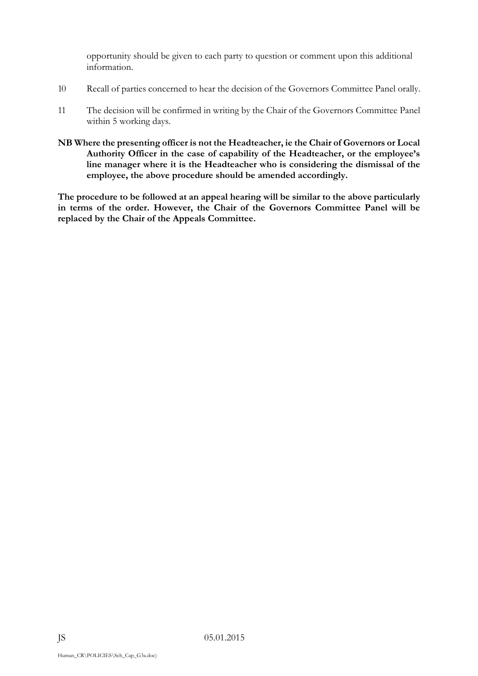opportunity should be given to each party to question or comment upon this additional information.

- 10 Recall of parties concerned to hear the decision of the Governors Committee Panel orally.
- 11 The decision will be confirmed in writing by the Chair of the Governors Committee Panel within 5 working days.
- **NB Where the presenting officer is not the Headteacher, ie the Chair of Governors or Local Authority Officer in the case of capability of the Headteacher, or the employee's line manager where it is the Headteacher who is considering the dismissal of the employee, the above procedure should be amended accordingly.**

**The procedure to be followed at an appeal hearing will be similar to the above particularly in terms of the order. However, the Chair of the Governors Committee Panel will be replaced by the Chair of the Appeals Committee.**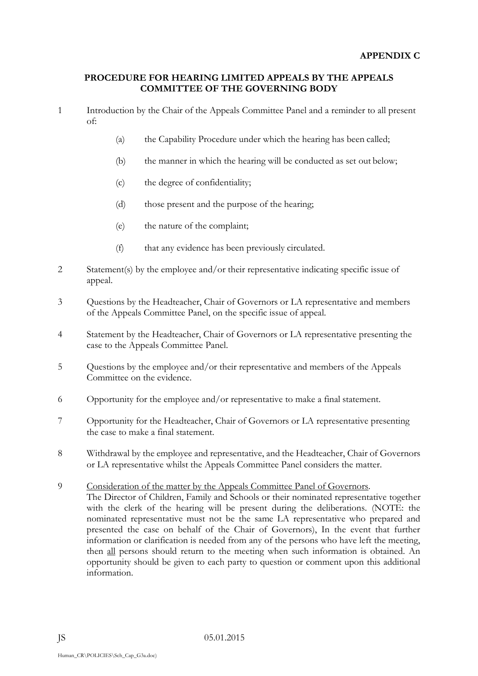#### **PROCEDURE FOR HEARING LIMITED APPEALS BY THE APPEALS COMMITTEE OF THE GOVERNING BODY**

- 1 Introduction by the Chair of the Appeals Committee Panel and a reminder to all present of:
	- (a) the Capability Procedure under which the hearing has been called;
	- (b) the manner in which the hearing will be conducted as set out below;
	- (c) the degree of confidentiality;
	- (d) those present and the purpose of the hearing;
	- (e) the nature of the complaint;
	- (f) that any evidence has been previously circulated.
- 2 Statement(s) by the employee and/or their representative indicating specific issue of appeal.
- 3 Questions by the Headteacher, Chair of Governors or LA representative and members of the Appeals Committee Panel, on the specific issue of appeal.
- 4 Statement by the Headteacher, Chair of Governors or LA representative presenting the case to the Appeals Committee Panel.
- 5 Questions by the employee and/or their representative and members of the Appeals Committee on the evidence.
- 6 Opportunity for the employee and/or representative to make a final statement.
- 7 Opportunity for the Headteacher, Chair of Governors or LA representative presenting the case to make a final statement.
- 8 Withdrawal by the employee and representative, and the Headteacher, Chair of Governors or LA representative whilst the Appeals Committee Panel considers the matter.
- 9 Consideration of the matter by the Appeals Committee Panel of Governors.
	- The Director of Children, Family and Schools or their nominated representative together with the clerk of the hearing will be present during the deliberations. (NOTE: the nominated representative must not be the same LA representative who prepared and presented the case on behalf of the Chair of Governors), In the event that further information or clarification is needed from any of the persons who have left the meeting, then all persons should return to the meeting when such information is obtained. An opportunity should be given to each party to question or comment upon this additional information.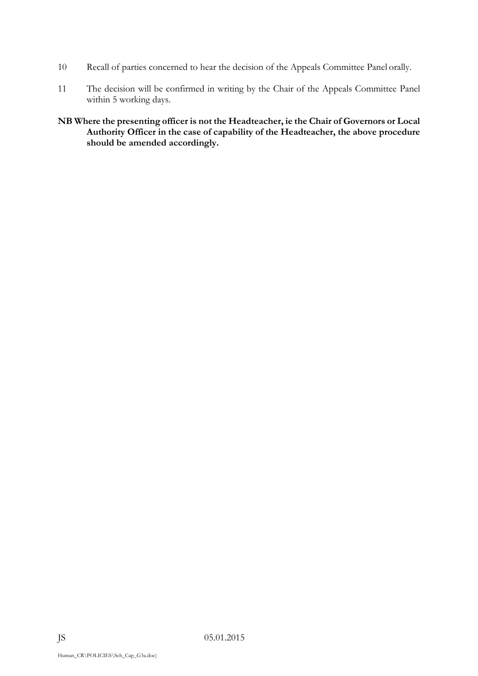- 10 Recall of parties concerned to hear the decision of the Appeals Committee Panel orally.
- 11 The decision will be confirmed in writing by the Chair of the Appeals Committee Panel within 5 working days.
- **NB Where the presenting officer is not the Headteacher, ie the Chair of Governors or Local Authority Officer in the case of capability of the Headteacher, the above procedure should be amended accordingly.**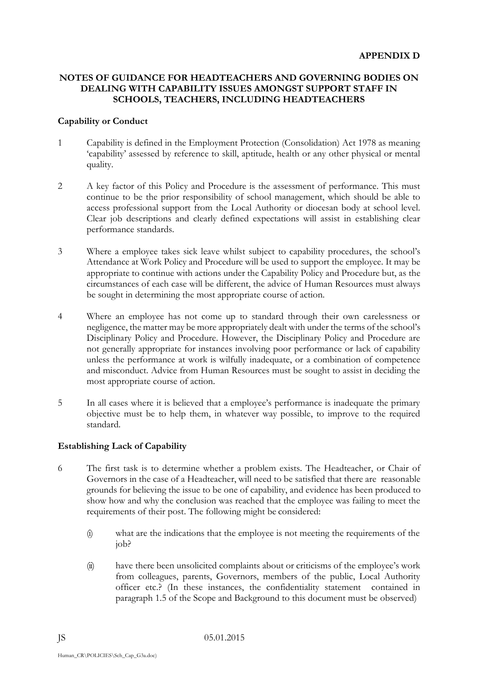### **NOTES OF GUIDANCE FOR HEADTEACHERS AND GOVERNING BODIES ON DEALING WITH CAPABILITY ISSUES AMONGST SUPPORT STAFF IN SCHOOLS, TEACHERS, INCLUDING HEADTEACHERS**

#### **Capability or Conduct**

- 1 Capability is defined in the Employment Protection (Consolidation) Act 1978 as meaning 'capability' assessed by reference to skill, aptitude, health or any other physical or mental quality.
- 2 A key factor of this Policy and Procedure is the assessment of performance. This must continue to be the prior responsibility of school management, which should be able to access professional support from the Local Authority or diocesan body at school level. Clear job descriptions and clearly defined expectations will assist in establishing clear performance standards.
- 3 Where a employee takes sick leave whilst subject to capability procedures, the school's Attendance at Work Policy and Procedure will be used to support the employee. It may be appropriate to continue with actions under the Capability Policy and Procedure but, as the circumstances of each case will be different, the advice of Human Resources must always be sought in determining the most appropriate course of action.
- 4 Where an employee has not come up to standard through their own carelessness or negligence, the matter may be more appropriately dealt with under the terms of the school's Disciplinary Policy and Procedure. However, the Disciplinary Policy and Procedure are not generally appropriate for instances involving poor performance or lack of capability unless the performance at work is wilfully inadequate, or a combination of competence and misconduct. Advice from Human Resources must be sought to assist in deciding the most appropriate course of action.
- 5 In all cases where it is believed that a employee's performance is inadequate the primary objective must be to help them, in whatever way possible, to improve to the required standard.

#### **Establishing Lack of Capability**

- 6 The first task is to determine whether a problem exists. The Headteacher, or Chair of Governors in the case of a Headteacher, will need to be satisfied that there are reasonable grounds for believing the issue to be one of capability, and evidence has been produced to show how and why the conclusion was reached that the employee was failing to meet the requirements of their post. The following might be considered:
	- (i) what are the indications that the employee is not meeting the requirements of the job?
	- (ii) have there been unsolicited complaints about or criticisms of the employee's work from colleagues, parents, Governors, members of the public, Local Authority officer etc.? (In these instances, the confidentiality statement contained in paragraph 1.5 of the Scope and Background to this document must be observed)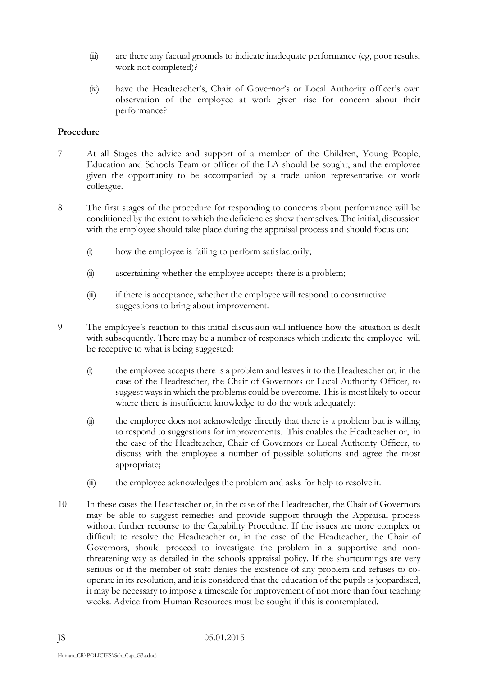- (iii) are there any factual grounds to indicate inadequate performance (eg, poor results, work not completed)?
- (iv) have the Headteacher's, Chair of Governor's or Local Authority officer's own observation of the employee at work given rise for concern about their performance?

#### **Procedure**

- 7 At all Stages the advice and support of a member of the Children, Young People, Education and Schools Team or officer of the LA should be sought, and the employee given the opportunity to be accompanied by a trade union representative or work colleague.
- 8 The first stages of the procedure for responding to concerns about performance will be conditioned by the extent to which the deficiencies show themselves. The initial, discussion with the employee should take place during the appraisal process and should focus on:
	- (i) how the employee is failing to perform satisfactorily;
	- (ii) ascertaining whether the employee accepts there is a problem;
	- (iii) if there is acceptance, whether the employee will respond to constructive suggestions to bring about improvement.
- 9 The employee's reaction to this initial discussion will influence how the situation is dealt with subsequently. There may be a number of responses which indicate the employee will be receptive to what is being suggested:
	- (i) the employee accepts there is a problem and leaves it to the Headteacher or, in the case of the Headteacher, the Chair of Governors or Local Authority Officer, to suggest ways in which the problems could be overcome. This is most likely to occur where there is insufficient knowledge to do the work adequately;
	- (ii) the employee does not acknowledge directly that there is a problem but is willing to respond to suggestions for improvements. This enables the Headteacher or, in the case of the Headteacher, Chair of Governors or Local Authority Officer, to discuss with the employee a number of possible solutions and agree the most appropriate;
	- (iii) the employee acknowledges the problem and asks for help to resolve it.
- 10 In these cases the Headteacher or, in the case of the Headteacher, the Chair of Governors may be able to suggest remedies and provide support through the Appraisal process without further recourse to the Capability Procedure. If the issues are more complex or difficult to resolve the Headteacher or, in the case of the Headteacher, the Chair of Governors, should proceed to investigate the problem in a supportive and nonthreatening way as detailed in the schools appraisal policy. If the shortcomings are very serious or if the member of staff denies the existence of any problem and refuses to cooperate in its resolution, and it is considered that the education of the pupils is jeopardised, it may be necessary to impose a timescale for improvement of not more than four teaching weeks. Advice from Human Resources must be sought if this is contemplated.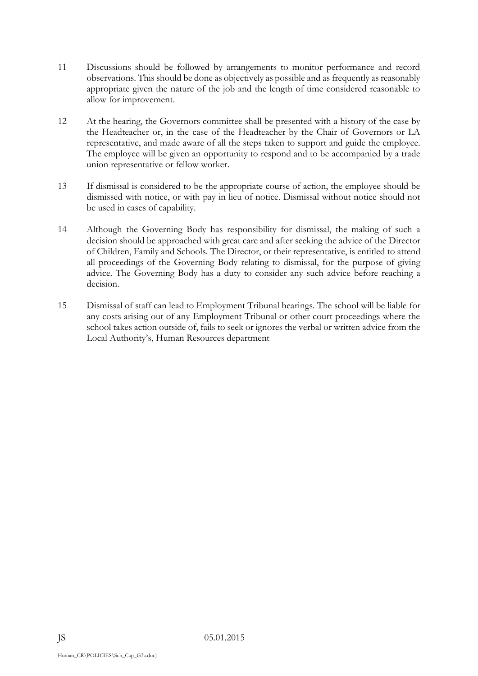- 11 Discussions should be followed by arrangements to monitor performance and record observations. This should be done as objectively as possible and as frequently as reasonably appropriate given the nature of the job and the length of time considered reasonable to allow for improvement.
- 12 At the hearing, the Governors committee shall be presented with a history of the case by the Headteacher or, in the case of the Headteacher by the Chair of Governors or LA representative, and made aware of all the steps taken to support and guide the employee. The employee will be given an opportunity to respond and to be accompanied by a trade union representative or fellow worker.
- 13 If dismissal is considered to be the appropriate course of action, the employee should be dismissed with notice, or with pay in lieu of notice. Dismissal without notice should not be used in cases of capability.
- 14 Although the Governing Body has responsibility for dismissal, the making of such a decision should be approached with great care and after seeking the advice of the Director of Children, Family and Schools. The Director, or their representative, is entitled to attend all proceedings of the Governing Body relating to dismissal, for the purpose of giving advice. The Governing Body has a duty to consider any such advice before reaching a decision.
- 15 Dismissal of staff can lead to Employment Tribunal hearings. The school will be liable for any costs arising out of any Employment Tribunal or other court proceedings where the school takes action outside of, fails to seek or ignores the verbal or written advice from the Local Authority's, Human Resources department